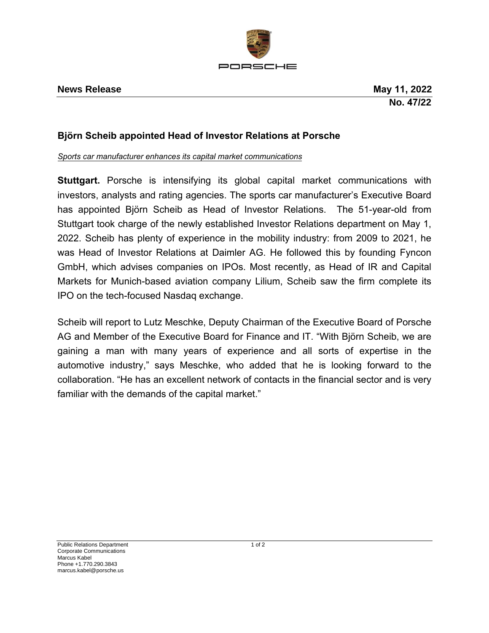

## **Björn Scheib appointed Head of Investor Relations at Porsche**

*Sports car manufacturer enhances its capital market communications*

**Stuttgart.** Porsche is intensifying its global capital market communications with investors, analysts and rating agencies. The sports car manufacturer's Executive Board has appointed Björn Scheib as Head of Investor Relations. The 51-year-old from Stuttgart took charge of the newly established Investor Relations department on May 1, 2022. Scheib has plenty of experience in the mobility industry: from 2009 to 2021, he was Head of Investor Relations at Daimler AG. He followed this by founding Fyncon GmbH, which advises companies on IPOs. Most recently, as Head of IR and Capital Markets for Munich-based aviation company Lilium, Scheib saw the firm complete its IPO on the tech-focused Nasdaq exchange.

Scheib will report to Lutz Meschke, Deputy Chairman of the Executive Board of Porsche AG and Member of the Executive Board for Finance and IT. "With Björn Scheib, we are gaining a man with many years of experience and all sorts of expertise in the automotive industry," says Meschke, who added that he is looking forward to the collaboration. "He has an excellent network of contacts in the financial sector and is very familiar with the demands of the capital market."